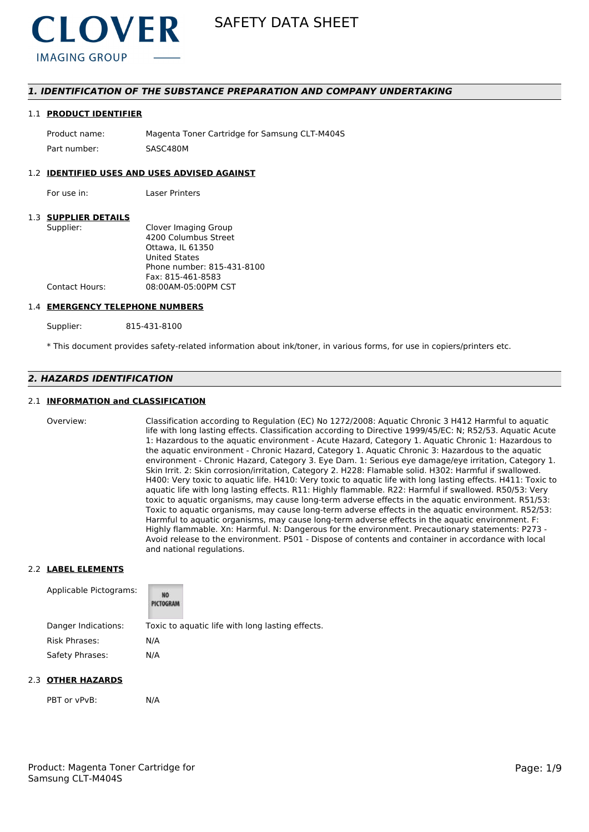

### *1. IDENTIFICATION OF THE SUBSTANCE PREPARATION AND COMPANY UNDERTAKING*

#### 1.1 **PRODUCT IDENTIFIER**

Product name: Magenta Toner Cartridge for Samsung CLT-M404S Part number: SASC480M

#### 1.2 **IDENTIFIED USES AND USES ADVISED AGAINST**

For use in: Laser Printers

### 1.3 **SUPPLIER DETAILS**

| Supplier:      | Clover Imaging Group       |
|----------------|----------------------------|
|                | 4200 Columbus Street       |
|                | Ottawa. IL 61350           |
|                | <b>United States</b>       |
|                | Phone number: 815-431-8100 |
|                | Fax: 815-461-8583          |
| Contact Hours: | 08:00AM-05:00PM CST        |
|                |                            |

#### 1.4 **EMERGENCY TELEPHONE NUMBERS**

Supplier: 815-431-8100

\* This document provides safety-related information about ink/toner, in various forms, for use in copiers/printers etc.

### *2. HAZARDS IDENTIFICATION*

#### 2.1 **INFORMATION and CLASSIFICATION**

Overview: Classification according to Regulation (EC) No 1272/2008: Aquatic Chronic 3 H412 Harmful to aquatic life with long lasting effects. Classification according to Directive 1999/45/EC: N; R52/53. Aquatic Acute 1: Hazardous to the aquatic environment - Acute Hazard, Category 1. Aquatic Chronic 1: Hazardous to the aquatic environment - Chronic Hazard, Category 1. Aquatic Chronic 3: Hazardous to the aquatic environment - Chronic Hazard, Category 3. Eye Dam. 1: Serious eye damage/eye irritation, Category 1. Skin Irrit. 2: Skin corrosion/irritation, Category 2. H228: Flamable solid. H302: Harmful if swallowed. H400: Very toxic to aquatic life. H410: Very toxic to aquatic life with long lasting effects. H411: Toxic to aquatic life with long lasting effects. R11: Highly flammable. R22: Harmful if swallowed. R50/53: Very toxic to aquatic organisms, may cause long-term adverse effects in the aquatic environment. R51/53: Toxic to aquatic organisms, may cause long-term adverse effects in the aquatic environment. R52/53: Harmful to aquatic organisms, may cause long-term adverse effects in the aquatic environment. F: Highly flammable. Xn: Harmful. N: Dangerous for the environment. Precautionary statements: P273 - Avoid release to the environment. P501 - Dispose of contents and container in accordance with local and national regulations.

### 2.2 **LABEL ELEMENTS**

| Applicable Pictograms: | NO<br>PICTOGRAM |                                                  |
|------------------------|-----------------|--------------------------------------------------|
| Danger Indications:    |                 | Toxic to aquatic life with long lasting effects. |
| <b>Risk Phrases:</b>   | N/A             |                                                  |
| Safety Phrases:        | N/A             |                                                  |

#### 2.3 **OTHER HAZARDS**

PBT or vPvB: N/A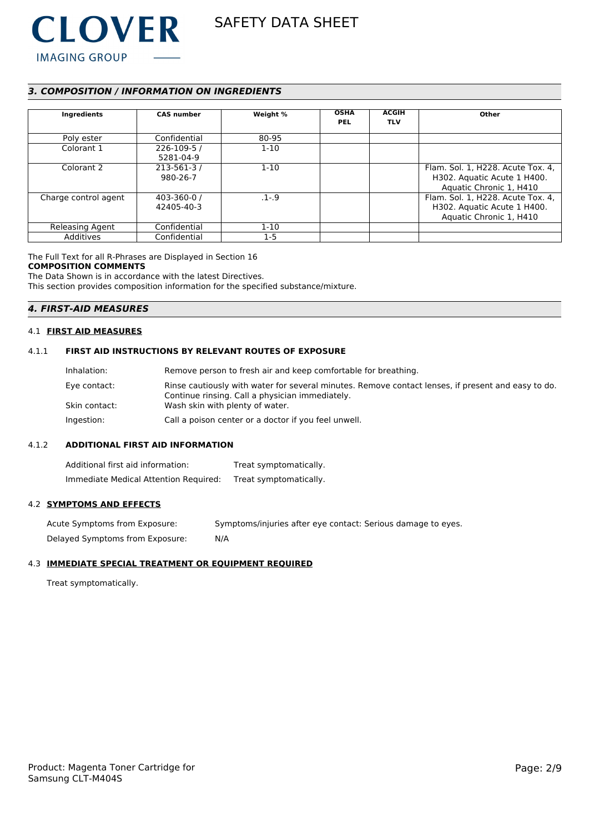

### *3. COMPOSITION / INFORMATION ON INGREDIENTS*

| Ingredients          | <b>CAS number</b>            | Weight %  | <b>OSHA</b><br><b>PEL</b> | <b>ACGIH</b><br><b>TLV</b> | Other                                                                                       |
|----------------------|------------------------------|-----------|---------------------------|----------------------------|---------------------------------------------------------------------------------------------|
| Poly ester           | Confidential                 | 80-95     |                           |                            |                                                                                             |
| Colorant 1           | 226-109-5 /<br>5281-04-9     | $1 - 10$  |                           |                            |                                                                                             |
| Colorant 2           | $213 - 561 - 3/$<br>980-26-7 | $1 - 10$  |                           |                            | Flam. Sol. 1, H228. Acute Tox. 4,<br>H302. Aquatic Acute 1 H400.<br>Aquatic Chronic 1, H410 |
| Charge control agent | 403-360-0 /<br>42405-40-3    | $.1 - .9$ |                           |                            | Flam. Sol. 1, H228. Acute Tox. 4,<br>H302. Aquatic Acute 1 H400.<br>Aquatic Chronic 1, H410 |
| Releasing Agent      | Confidential                 | $1-10$    |                           |                            |                                                                                             |
| Additives            | Confidential                 | $1-5$     |                           |                            |                                                                                             |

The Full Text for all R-Phrases are Displayed in Section 16 **COMPOSITION COMMENTS**

The Data Shown is in accordance with the latest Directives. This section provides composition information for the specified substance/mixture.

### *4. FIRST-AID MEASURES*

#### 4.1 **FIRST AID MEASURES**

### 4.1.1 **FIRST AID INSTRUCTIONS BY RELEVANT ROUTES OF EXPOSURE**

| Inhalation:   | Remove person to fresh air and keep comfortable for breathing.                                                                                        |
|---------------|-------------------------------------------------------------------------------------------------------------------------------------------------------|
| Eye contact:  | Rinse cautiously with water for several minutes. Remove contact lenses, if present and easy to do.<br>Continue rinsing. Call a physician immediately. |
| Skin contact: | Wash skin with plenty of water.                                                                                                                       |
| Ingestion:    | Call a poison center or a doctor if you feel unwell.                                                                                                  |

#### 4.1.2 **ADDITIONAL FIRST AID INFORMATION**

Additional first aid information: Treat symptomatically. Immediate Medical Attention Required: Treat symptomatically.

#### 4.2 **SYMPTOMS AND EFFECTS**

Acute Symptoms from Exposure: Symptoms/injuries after eye contact: Serious damage to eyes. Delayed Symptoms from Exposure: N/A

#### 4.3 **IMMEDIATE SPECIAL TREATMENT OR EQUIPMENT REQUIRED**

Treat symptomatically.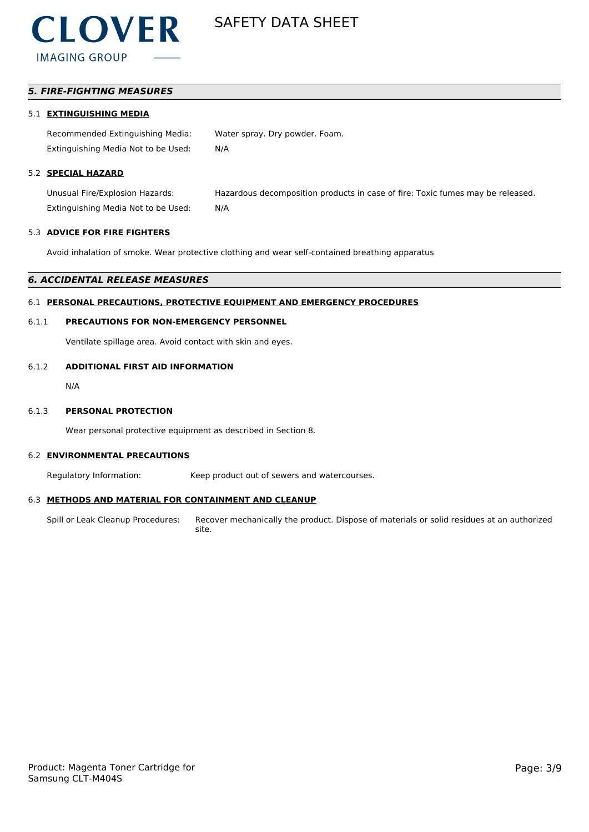

### *5. FIRE-FIGHTING MEASURES*

### 5.1 **EXTINGUISHING MEDIA**

Recommended Extinguishing Media: Water spray. Dry powder. Foam. Extinguishing Media Not to be Used: N/A

### 5.2 **SPECIAL HAZARD**

Unusual Fire/Explosion Hazards: Hazardous decomposition products in case of fire: Toxic fumes may be released. Extinguishing Media Not to be Used: N/A

#### 5.3 **ADVICE FOR FIRE FIGHTERS**

Avoid inhalation of smoke. Wear protective clothing and wear self-contained breathing apparatus

#### *6. ACCIDENTAL RELEASE MEASURES*

#### 6.1 **PERSONAL PRECAUTIONS, PROTECTIVE EQUIPMENT AND EMERGENCY PROCEDURES**

#### 6.1.1 **PRECAUTIONS FOR NON-EMERGENCY PERSONNEL**

Ventilate spillage area. Avoid contact with skin and eyes.

### 6.1.2 **ADDITIONAL FIRST AID INFORMATION**

N/A

#### 6.1.3 **PERSONAL PROTECTION**

Wear personal protective equipment as described in Section 8.

#### 6.2 **ENVIRONMENTAL PRECAUTIONS**

Regulatory Information: Keep product out of sewers and watercourses.

#### 6.3 **METHODS AND MATERIAL FOR CONTAINMENT AND CLEANUP**

Spill or Leak Cleanup Procedures: Recover mechanically the product. Dispose of materials or solid residues at an authorized site.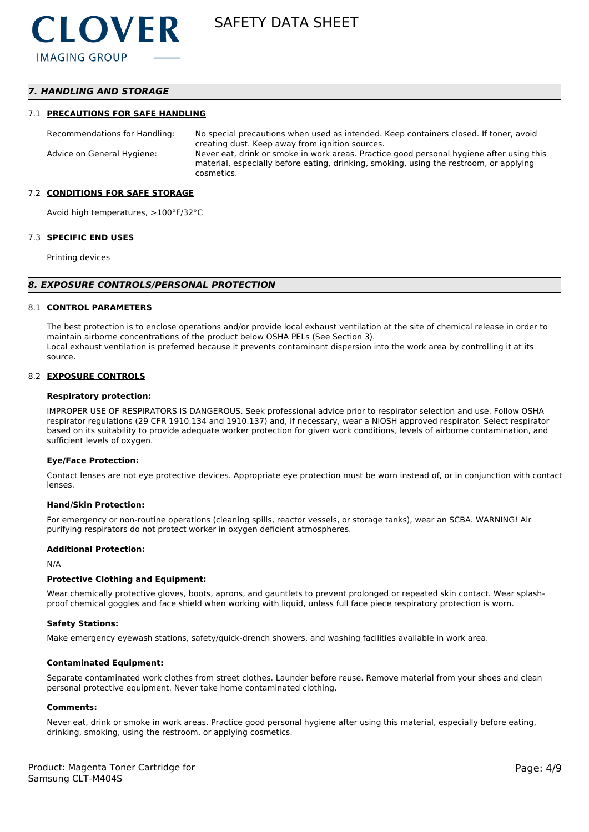### *7. HANDLING AND STORAGE*

#### 7.1 **PRECAUTIONS FOR SAFE HANDLING**

Recommendations for Handling: No special precautions when used as intended. Keep containers closed. If toner, avoid creating dust. Keep away from ignition sources. Advice on General Hygiene: Never eat, drink or smoke in work areas. Practice good personal hygiene after using this material, especially before eating, drinking, smoking, using the restroom, or applying cosmetics.

#### 7.2 **CONDITIONS FOR SAFE STORAGE**

Avoid high temperatures, >100°F/32°C

#### 7.3 **SPECIFIC END USES**

Printing devices

#### *8. EXPOSURE CONTROLS/PERSONAL PROTECTION*

#### 8.1 **CONTROL PARAMETERS**

The best protection is to enclose operations and/or provide local exhaust ventilation at the site of chemical release in order to maintain airborne concentrations of the product below OSHA PELs (See Section 3). Local exhaust ventilation is preferred because it prevents contaminant dispersion into the work area by controlling it at its source.

#### 8.2 **EXPOSURE CONTROLS**

#### **Respiratory protection:**

IMPROPER USE OF RESPIRATORS IS DANGEROUS. Seek professional advice prior to respirator selection and use. Follow OSHA respirator regulations (29 CFR 1910.134 and 1910.137) and, if necessary, wear a NIOSH approved respirator. Select respirator based on its suitability to provide adequate worker protection for given work conditions, levels of airborne contamination, and sufficient levels of oxygen.

#### **Eye/Face Protection:**

Contact lenses are not eye protective devices. Appropriate eye protection must be worn instead of, or in conjunction with contact lenses.

#### **Hand/Skin Protection:**

For emergency or non-routine operations (cleaning spills, reactor vessels, or storage tanks), wear an SCBA. WARNING! Air purifying respirators do not protect worker in oxygen deficient atmospheres.

#### **Additional Protection:**

N/A

#### **Protective Clothing and Equipment:**

Wear chemically protective gloves, boots, aprons, and gauntlets to prevent prolonged or repeated skin contact. Wear splashproof chemical goggles and face shield when working with liquid, unless full face piece respiratory protection is worn.

#### **Safety Stations:**

Make emergency eyewash stations, safety/quick-drench showers, and washing facilities available in work area.

#### **Contaminated Equipment:**

Separate contaminated work clothes from street clothes. Launder before reuse. Remove material from your shoes and clean personal protective equipment. Never take home contaminated clothing.

#### **Comments:**

Never eat, drink or smoke in work areas. Practice good personal hygiene after using this material, especially before eating, drinking, smoking, using the restroom, or applying cosmetics.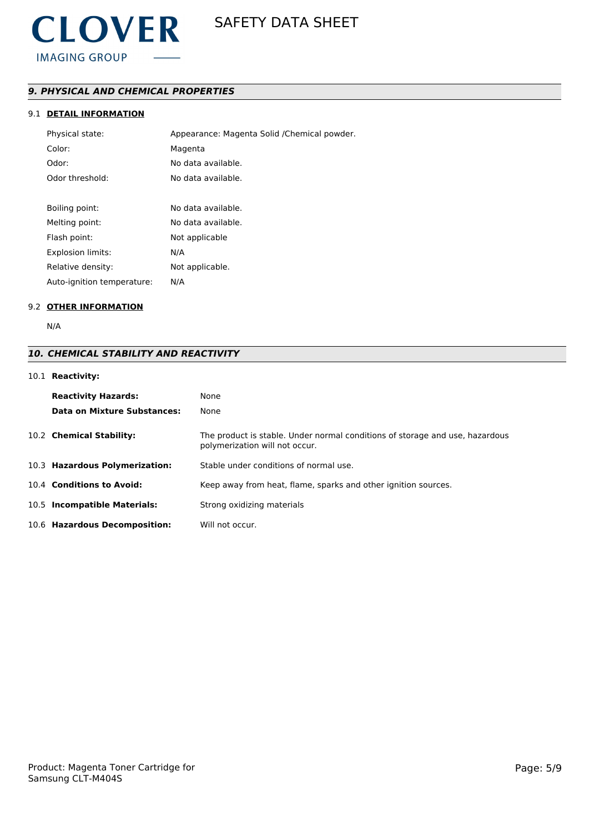

### *9. PHYSICAL AND CHEMICAL PROPERTIES*

### 9.1 **DETAIL INFORMATION**

| Physical state:            | Appearance: Magenta Solid / Chemical powder. |
|----------------------------|----------------------------------------------|
| Color:                     | Magenta                                      |
| Odor:                      | No data available.                           |
| Odor threshold:            | No data available.                           |
|                            |                                              |
| Boiling point:             | No data available.                           |
| Melting point:             | No data available.                           |
| Flash point:               | Not applicable                               |
| <b>Explosion limits:</b>   | N/A                                          |
| Relative density:          | Not applicable.                              |
| Auto-ignition temperature: | N/A                                          |

### 9.2 **OTHER INFORMATION**

N/A

## *10. CHEMICAL STABILITY AND REACTIVITY*

### 10.1 **Reactivity:**

| <b>Reactivity Hazards:</b><br>Data on Mixture Substances: | None<br>None                                                                                                   |
|-----------------------------------------------------------|----------------------------------------------------------------------------------------------------------------|
| 10.2 Chemical Stability:                                  | The product is stable. Under normal conditions of storage and use, hazardous<br>polymerization will not occur. |
| 10.3 Hazardous Polymerization:                            | Stable under conditions of normal use.                                                                         |
| 10.4 Conditions to Avoid:                                 | Keep away from heat, flame, sparks and other ignition sources.                                                 |
| 10.5 Incompatible Materials:                              | Strong oxidizing materials                                                                                     |
| 10.6 Hazardous Decomposition:                             | Will not occur.                                                                                                |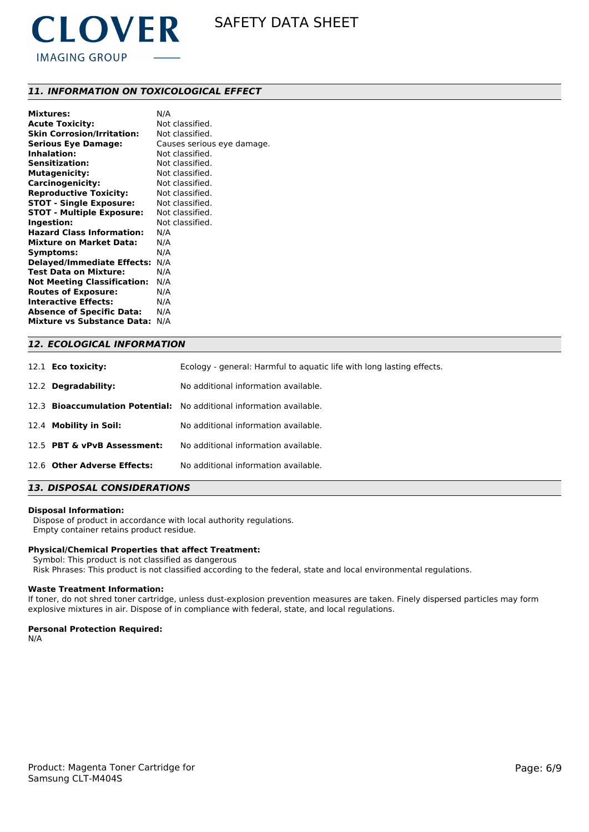

### *11. INFORMATION ON TOXICOLOGICAL EFFECT*

| <b>Mixtures:</b>                   | N/A                        |
|------------------------------------|----------------------------|
| <b>Acute Toxicity:</b>             | Not classified.            |
| <b>Skin Corrosion/Irritation:</b>  | Not classified.            |
| <b>Serious Eye Damage:</b>         | Causes serious eye damage. |
| Inhalation:                        | Not classified.            |
| <b>Sensitization:</b>              | Not classified.            |
| <b>Mutagenicity:</b>               | Not classified.            |
| <b>Carcinogenicity:</b>            | Not classified.            |
| <b>Reproductive Toxicity:</b>      | Not classified.            |
| <b>STOT - Single Exposure:</b>     | Not classified.            |
| <b>STOT - Multiple Exposure:</b>   | Not classified.            |
| Ingestion:                         | Not classified.            |
| <b>Hazard Class Information:</b>   | N/A                        |
| <b>Mixture on Market Data:</b>     | N/A                        |
| Symptoms:                          | N/A                        |
| <b>Delayed/Immediate Effects:</b>  | N/A                        |
| Test Data on Mixture:              | N/A                        |
| <b>Not Meeting Classification:</b> | N/A                        |
| <b>Routes of Exposure:</b>         | N/A                        |
| <b>Interactive Effects:</b>        | N/A                        |
| <b>Absence of Specific Data:</b>   | N/A                        |
| <b>Mixture vs Substance Data:</b>  | N/A                        |

| <b>12. ECOLOGICAL INFORMATION</b> |                                                                             |  |  |
|-----------------------------------|-----------------------------------------------------------------------------|--|--|
| 12.1 <b>Eco toxicity:</b>         | Ecology - general: Harmful to aguatic life with long lasting effects.       |  |  |
| 12.2 Degradability:               | No additional information available.                                        |  |  |
|                                   | 12.3 <b>Bioaccumulation Potential:</b> No additional information available. |  |  |
| 12.4 Mobility in Soil:            | No additional information available.                                        |  |  |
| 12.5 PBT & vPvB Assessment:       | No additional information available.                                        |  |  |
| 12.6 Other Adverse Effects:       | No additional information available.                                        |  |  |

### *13. DISPOSAL CONSIDERATIONS*

#### **Disposal Information:**

 Dispose of product in accordance with local authority regulations. Empty container retains product residue.

#### **Physical/Chemical Properties that affect Treatment:**

Symbol: This product is not classified as dangerous

Risk Phrases: This product is not classified according to the federal, state and local environmental regulations.

#### **Waste Treatment Information:**

If toner, do not shred toner cartridge, unless dust-explosion prevention measures are taken. Finely dispersed particles may form explosive mixtures in air. Dispose of in compliance with federal, state, and local regulations.

#### **Personal Protection Required:**

N/A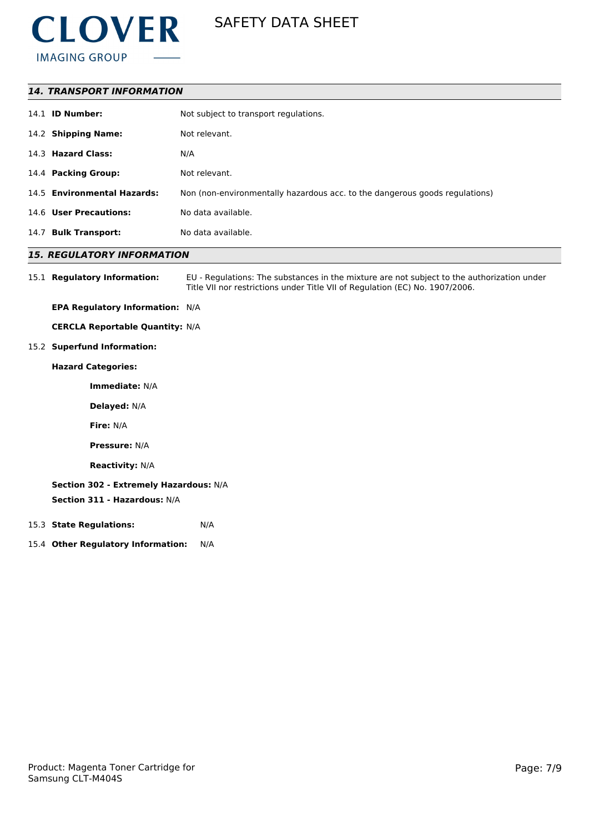

| <b>14. TRANSPORT INFORMATION</b> |                                                                             |  |  |
|----------------------------------|-----------------------------------------------------------------------------|--|--|
| 14.1 <b>ID Number:</b>           | Not subject to transport regulations.                                       |  |  |
| 14.2 Shipping Name:              | Not relevant.                                                               |  |  |
| 14.3 Hazard Class:               | N/A                                                                         |  |  |
| 14.4 Packing Group:              | Not relevant.                                                               |  |  |
| 14.5 Environmental Hazards:      | Non (non-environmentally hazardous acc. to the dangerous goods regulations) |  |  |
| 14.6 User Precautions:           | No data available.                                                          |  |  |
| 14.7 Bulk Transport:             | No data available.                                                          |  |  |

### *15. REGULATORY INFORMATION*

15.1 **Regulatory Information:** EU - Regulations: The substances in the mixture are not subject to the authorization under Title VII nor restrictions under Title VII of Regulation (EC) No. 1907/2006.

**EPA Regulatory Information:** N/A

**CERCLA Reportable Quantity:** N/A

15.2 **Superfund Information:**

**Hazard Categories:**

**Immediate:** N/A

**Delayed:** N/A

**Fire:** N/A

**Pressure:** N/A

**Reactivity:** N/A

### **Section 302 - Extremely Hazardous:** N/A

**Section 311 - Hazardous:** N/A

- 15.3 **State Regulations:** N/A
- 15.4 **Other Regulatory Information:** N/A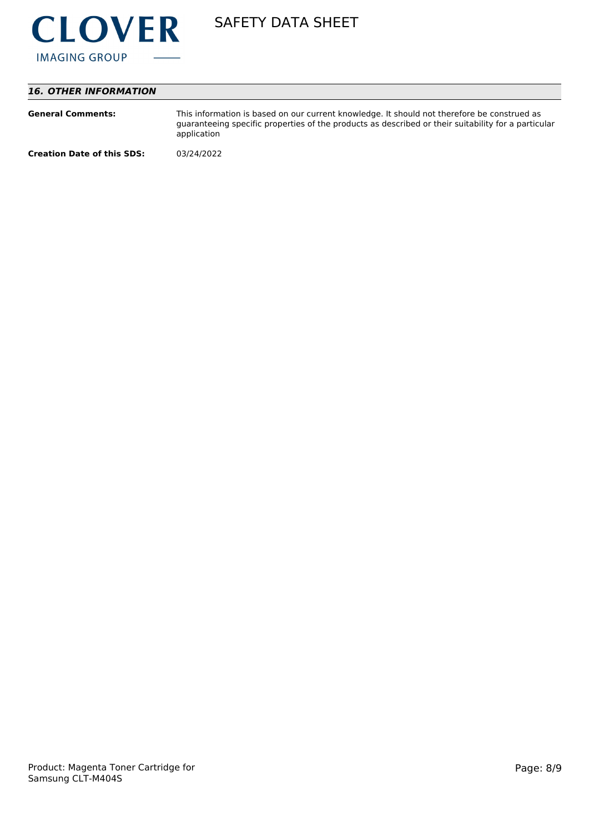

### *16. OTHER INFORMATION*

| <b>General Comments:</b>          | This information is based on our current knowledge. It should not therefore be construed as<br>guaranteeing specific properties of the products as described or their suitability for a particular<br>application |
|-----------------------------------|-------------------------------------------------------------------------------------------------------------------------------------------------------------------------------------------------------------------|
| <b>Creation Date of this SDS:</b> | 03/24/2022                                                                                                                                                                                                        |